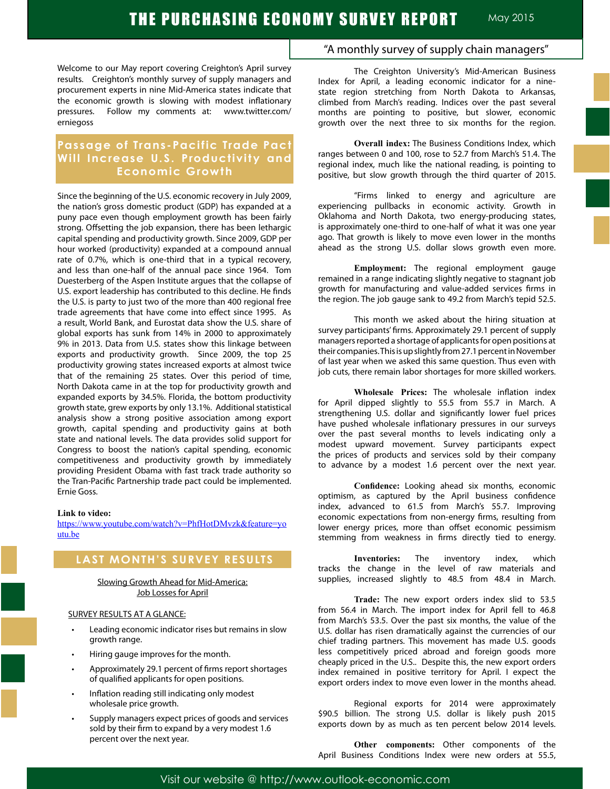Welcome to our May report covering Creighton's April survey results. Creighton's monthly survey of supply managers and procurement experts in nine Mid-America states indicate that the economic growth is slowing with modest inflationary pressures. Follow my comments at: www.twitter.com/ erniegoss

# **Passage of Trans-Pacific Trade Pact Will Increase U.S. Productivity and Economic Growth**

Since the beginning of the U.S. economic recovery in July 2009, the nation's gross domestic product (GDP) has expanded at a puny pace even though employment growth has been fairly strong. Offsetting the job expansion, there has been lethargic capital spending and productivity growth. Since 2009, GDP per hour worked (productivity) expanded at a compound annual rate of 0.7%, which is one-third that in a typical recovery, and less than one-half of the annual pace since 1964. Tom Duesterberg of the Aspen Institute argues that the collapse of U.S. export leadership has contributed to this decline. He finds the U.S. is party to just two of the more than 400 regional free trade agreements that have come into effect since 1995. As a result, World Bank, and Eurostat data show the U.S. share of global exports has sunk from 14% in 2000 to approximately 9% in 2013. Data from U.S. states show this linkage between exports and productivity growth. Since 2009, the top 25 productivity growing states increased exports at almost twice that of the remaining 25 states. Over this period of time, North Dakota came in at the top for productivity growth and expanded exports by 34.5%. Florida, the bottom productivity growth state, grew exports by only 13.1%. Additional statistical analysis show a strong positive association among export growth, capital spending and productivity gains at both state and national levels. The data provides solid support for Congress to boost the nation's capital spending, economic competitiveness and productivity growth by immediately providing President Obama with fast track trade authority so the Tran-Pacific Partnership trade pact could be implemented. Ernie Goss.

#### **Link to video:**

https://www.youtube.com/watch?v=PhfHotDMvzk&feature=yo utu.be

# **LAST MONTH'S SURVEY RESULTS**

Slowing Growth Ahead for Mid-America: Job Losses for April

### SURVEY RESULTS AT A GLANCE:

- Leading economic indicator rises but remains in slow growth range.
- Hiring gauge improves for the month.
- Approximately 29.1 percent of firms report shortages of qualified applicants for open positions.
- Inflation reading still indicating only modest wholesale price growth.
- Supply managers expect prices of goods and services sold by their firm to expand by a very modest 1.6 percent over the next year.

# "A monthly survey of supply chain managers"

The Creighton University's Mid-American Business Index for April, a leading economic indicator for a ninestate region stretching from North Dakota to Arkansas, climbed from March's reading. Indices over the past several months are pointing to positive, but slower, economic growth over the next three to six months for the region.

**Overall index:** The Business Conditions Index, which ranges between 0 and 100, rose to 52.7 from March's 51.4. The regional index, much like the national reading, is pointing to positive, but slow growth through the third quarter of 2015.

"Firms linked to energy and agriculture are experiencing pullbacks in economic activity. Growth in Oklahoma and North Dakota, two energy-producing states, is approximately one-third to one-half of what it was one year ago. That growth is likely to move even lower in the months ahead as the strong U.S. dollar slows growth even more.

**Employment:** The regional employment gauge remained in a range indicating slightly negative to stagnant job growth for manufacturing and value-added services firms in the region. The job gauge sank to 49.2 from March's tepid 52.5.

This month we asked about the hiring situation at survey participants' firms. Approximately 29.1 percent of supply managers reported a shortage of applicants for open positions at their companies. This is up slightly from 27.1 percent in November of last year when we asked this same question. Thus even with job cuts, there remain labor shortages for more skilled workers.

**Wholesale Prices:** The wholesale inflation index for April dipped slightly to 55.5 from 55.7 in March. A strengthening U.S. dollar and significantly lower fuel prices have pushed wholesale inflationary pressures in our surveys over the past several months to levels indicating only a modest upward movement. Survey participants expect the prices of products and services sold by their company to advance by a modest 1.6 percent over the next year.

**Confidence:** Looking ahead six months, economic optimism, as captured by the April business confidence index, advanced to 61.5 from March's 55.7. Improving economic expectations from non-energy firms, resulting from lower energy prices, more than offset economic pessimism stemming from weakness in firms directly tied to energy.

**Inventories:** The inventory index, which tracks the change in the level of raw materials and supplies, increased slightly to 48.5 from 48.4 in March.

**Trade:** The new export orders index slid to 53.5 from 56.4 in March. The import index for April fell to 46.8 from March's 53.5. Over the past six months, the value of the U.S. dollar has risen dramatically against the currencies of our chief trading partners. This movement has made U.S. goods less competitively priced abroad and foreign goods more cheaply priced in the U.S.. Despite this, the new export orders index remained in positive territory for April. I expect the export orders index to move even lower in the months ahead.

Regional exports for 2014 were approximately \$90.5 billion. The strong U.S. dollar is likely push 2015 exports down by as much as ten percent below 2014 levels.

**Other components:** Other components of the April Business Conditions Index were new orders at 55.5,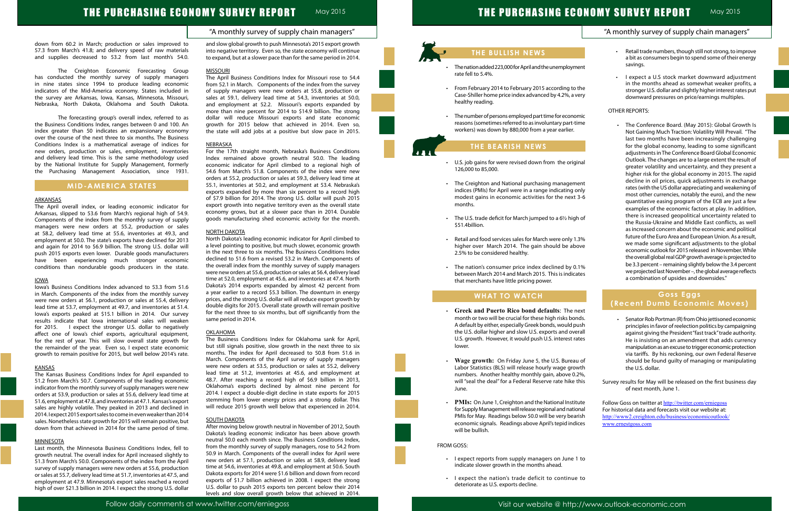## "A monthly survey of supply chain managers"



### down from 60.2 in March; production or sales improved to 57.3 from March's 41.8; and delivery speed of raw materials and supplies decreased to 53.2 from last month's 54.0.

The Creighton Economic Forecasting Group has conducted the monthly survey of supply managers in nine states since 1994 to produce leading economic indicators of the Mid-America economy. States included in the survey are Arkansas, Iowa, Kansas, Minnesota, Missouri, Nebraska, North Dakota, Oklahoma and South Dakota.

The forecasting group's overall index, referred to as the Business Conditions Index, ranges between 0 and 100. An index greater than 50 indicates an expansionary economy over the course of the next three to six months. The Business Conditions Index is a mathematical average of indices for new orders, production or sales, employment, inventories and delivery lead time. This is the same methodology used by the National Institute for Supply Management, formerly the Purchasing Management Association, since 1931.

# **MID-AMERICA STATES**

#### ARKANSAS

The April overall index, or leading economic indicator for Arkansas, slipped to 53.6 from March's regional high of 54.9. Components of the index from the monthly survey of supply managers were new orders at 55.2, production or sales at 58.2, delivery lead time at 55.6, inventories at 49.3, and employment at 50.0. The state's exports have declined for 2013 and again for 2014 to \$6.9 billion. The strong U.S. dollar will push 2015 exports even lower. Durable goods manufacturers have been experiencing much stronger economic conditions than nondurable goods producers in the state.

#### IOWA

Iowa's Business Conditions Index advanced to 53.3 from 51.6 in March. Components of the index from the monthly survey were new orders at 56.1, production or sales at 55.4, delivery lead time at 53.7, employment at 49.7, and inventories at 51.4. Iowa's exports peaked at \$15.1 billion in 2014. Our survey results indicate that Iowa international sales will weaken for 2015. I expect the stronger U.S. dollar to negatively affect one of Iowa's chief exports, agricultural equipment, for the rest of year. This will slow overall state growth for the remainder of the year. Even so, I expect state economic growth to remain positive for 2015, but well below 2014's rate.

#### KANSAS

The Kansas Business Conditions Index for April expanded to 51.2 from March's 50.7. Components of the leading economic indicator from the monthly survey of supply managers were new orders at 53.9, production or sales at 55.6, delivery lead time at 51.6, employment at 47.8, and inventories at 47.1. Kansas's export sales are highly volatile. They peaked in 2013 and declined in 2014. I expect 2015 export sales to come in even weaker than 2014 sales. Nonetheless state growth for 2015 will remain positive, but down from that achieved in 2014 for the same period of time.

#### **MINNESOTA**

Last month, the Minnesota Business Conditions Index, fell to growth neutral. The overall index for April increased slightly to 51.3 from March's 50.0. Components of the index from the April survey of supply managers were new orders at 55.6, production or sales at 55.7, delivery lead time at 51.7, inventories at 47.5, and employment at 47.9. Minnesota's export sales reached a record high of over \$21.3 billion in 2014. I expect the strong U.S. dollar and slow global growth to push Minnesota's 2015 export growth into negative territory. Even so, the state economy will continue to expand, but at a slower pace than for the same period in 2014.

- The nation added 223,000 for April and the unemploym rate fell to 5.4%.
- From February 2014 to February 2015 according to Case-Shiller home price index advanced by 4.2%, a very healthy reading.
- The number of persons employed part time for econor reasons (sometimes referred to as involuntary part-times workers) was down by 880,000 from a year earlier.

#### MISSOURI

The April Business Conditions Index for Missouri rose to 54.4 from 52.1 in March. Components of the index from the survey of supply managers were new orders at 55.8, production or sales at 59.1, delivery lead time at 54.3, inventories at 50.0, and employment at 52.2. Missouri's exports expanded by more than nine percent for 2014 to \$14.9 billion. The strong dollar will reduce Missouri exports and state economic growth for 2015 below that achieved in 2014. Even so, the state will add jobs at a positive but slow pace in 2015.

#### **NEBRASKA**

- U.S. job gains for were revised down from the original 126,000 to 85,000.
- The Creighton and National purchasing management indices (PMIs) for April were in a range indicating or modest gains in economic activities for the next months.
- The U.S. trade deficit for March jumped to a  $6\frac{1}{2}$  high \$51.4billion.
- Retail and food services sales for March were only 1. higher over March 2014. The gain should be abo 2.5% to be considered healthy.
- The nation's consumer price index declined by 0. between March 2014 and March 2015. This is indica that merchants have little pricing power.

- Greek and Puerto Rico bond defaults: The next month or two will be crucial for these high risks bon A default by either, especially Greek bonds, would pu the U.S. dollar higher and slow U.S. exports and over U.S. growth. However, it would push U.S. interest rates lower.
- Wage growth: On Friday June 5, the U.S. Bureau Labor Statistics (BLS) will release hourly wage growth numbers. Another healthy monthly gain, above 0.2%, will "seal the deal" for a Federal Reserve rate hike this June.
- **PMIs:** On June 1, Creighton and the National Institu for Supply Management will release regional and nation PMIs for May. Readings below 50.0 will be very bear economic signals. Readings above April's tepid indic will be bullish.

For the 17th straight month, Nebraska's Business Conditions Index remained above growth neutral 50.0. The leading economic indicator for April climbed to a regional high of 54.6 from March's 51.8. Components of the index were new orders at 55.2, production or sales at 59.3, delivery lead time at 55.1, inventories at 50.2, and employment at 53.4. Nebraska's exports expanded by more than six percent to a record high of \$7.9 billion for 2014. The strong U.S. dollar will push 2015 export growth into negative territory even as the overall state economy grows, but at a slower pace than in 2014. Durable goods manufacturing shed economic activity for the month.

#### NORTH DAKOTA

North Dakota's leading economic indicator for April climbed to a level pointing to positive, but much slower, economic growth in the next three to six months. The Business Conditions Index declined to 51.6 from a revised 53.2 in March. Components of the overall index from the monthly survey of supply managers were new orders at 55.6, production or sales at 56.4, delivery lead time at 52.0, employment at 45.6, and inventories at 47.4. North Dakota's 2014 exports expanded by almost 42 percent from a year earlier to a record \$5.3 billion. The downturn in energy prices, and the strong U.S. dollar will all reduce export growth by double digits for 2015. Overall state growth will remain positive for the next three to six months, but off significantly from the same period in 2014.

#### **OKLAHOMA**

|                                                                | "A monthly survey of supply chain managers"                                                                                                                                                                                                                                                                                                                                                                                                                                                                                                                                                                                                                                                                                                                                                                                                                                                                                                                                                                                                                    |
|----------------------------------------------------------------|----------------------------------------------------------------------------------------------------------------------------------------------------------------------------------------------------------------------------------------------------------------------------------------------------------------------------------------------------------------------------------------------------------------------------------------------------------------------------------------------------------------------------------------------------------------------------------------------------------------------------------------------------------------------------------------------------------------------------------------------------------------------------------------------------------------------------------------------------------------------------------------------------------------------------------------------------------------------------------------------------------------------------------------------------------------|
| savings.<br>ent<br>the<br>ery                                  | Retail trade numbers, though still not strong, to improve<br>a bit as consumers begin to spend some of their energy<br>I expect a U.S stock market downward adjustment<br>in the months ahead as somewhat weaker profits, a<br>stronger U.S. dollar and slightly higher interest rates put<br>downward pressures on price/earnings multiples.                                                                                                                                                                                                                                                                                                                                                                                                                                                                                                                                                                                                                                                                                                                  |
| <b>OTHER REPORTS:</b><br>mic                                   |                                                                                                                                                                                                                                                                                                                                                                                                                                                                                                                                                                                                                                                                                                                                                                                                                                                                                                                                                                                                                                                                |
| me<br>inal<br>ent<br>nly<br>3-6<br>າ of<br>3%                  | The Conference Board. (May 2015): Global Growth Is<br>Not Gaining Much Traction: Volatility Will Prevail. "The<br>last two months have been increasingly challenging<br>for the global economy, leading to some significant<br>adjustments in The Conference Board Global Economic<br>Outlook. The changes are to a large extent the result of<br>greater volatility and uncertainty, and they present a<br>higher risk for the global economy in 2015. The rapid<br>decline in oil prices, quick adjustments in exchange<br>rates (with the US dollar appreciating and weakening of<br>most other currencies, notably the euro), and the new<br>quantitative easing program of the ECB are just a few<br>examples of the economic factors at play. In addition,<br>there is increased geopolitical uncertainty related to<br>the Russia-Ukraine and Middle East conflicts, as well<br>as increased concern about the economic and political<br>future of the Euro Area and European Union. As a result,<br>we made some significant adjustments to the global |
| ove<br>1%<br>ıtes                                              | economic outlook for 2015 released in November. While<br>the overall global real GDP growth average is projected to<br>be 3.3 percent - remaining slightly below the 3.4 percent<br>we projected last November -, the global average reflects                                                                                                                                                                                                                                                                                                                                                                                                                                                                                                                                                                                                                                                                                                                                                                                                                  |
|                                                                | a combination of upsides and downsides."<br><b>Goss Eggs</b>                                                                                                                                                                                                                                                                                                                                                                                                                                                                                                                                                                                                                                                                                                                                                                                                                                                                                                                                                                                                   |
| ext                                                            | (Recent Dumb Economic Moves)                                                                                                                                                                                                                                                                                                                                                                                                                                                                                                                                                                                                                                                                                                                                                                                                                                                                                                                                                                                                                                   |
| ıds.<br>ush<br>rall<br>ites<br>ı of<br>vth<br>the U.S. dollar. | Senator Rob Portman (R) from Ohio jettisoned economic<br>principles in favor of reelection politics by campaigning<br>against giving the President "fast track" trade authority.<br>He is insisting on an amendment that adds currency<br>manipulation as an excuse to trigger economic protection<br>via tariffs. By his reckoning, our own Federal Reserve<br>should be found guilty of managing or manipulating                                                                                                                                                                                                                                                                                                                                                                                                                                                                                                                                                                                                                                             |

The Business Conditions Index for Oklahoma sank for April, but still signals positive, slow growth in the next three to six months. The index for April decreased to 50.8 from 51.6 in March. Components of the April survey of supply managers were new orders at 53.5, production or sales at 55.2, delivery lead time at 51.2, inventories at 45.6, and employment at 48.7. After reaching a record high of \$6.9 billion in 2013, Oklahoma's exports declined by almost nine percent for 2014. I expect a double-digit decline in state exports for 2015 stemming from lower energy prices and a strong dollar. This will reduce 2015 growth well below that experienced in 2014.

#### SOUTH DAKOTA

After moving below growth neutral in November of 2012, South Dakota's leading economic indicator has been above growth neutral 50.0 each month since. The Business Conditions Index, from the monthly survey of supply managers, rose to 54.2 from 50.9 in March. Components of the overall index for April were new orders at 57.1, production or sales at 58.9, delivery lead time at 54.6, inventories at 49.8, and employment at 50.6. South Dakota exports for 2014 were \$1.6 billion and down from record exports of \$1.7 billion achieved in 2008. I expect the strong U.S. dollar to push 2015 exports ten percent below their 2014 levels and slow overall growth below that achieved in 2014.

# **THE BULLISH NEWS**

# **THE BEARISH NEWS**

# **WHAT TO WATCH**

#### FROM GOSS:

ľ

- • I expect reports from supply managers on June 1 to indicate slower growth in the months ahead.
- • I expect the nation's trade deficit to continue to deteriorate as U.S. exports decline.

Survey results for May will be released on the first business day of next month, June 1.

| ıte | Follow Goss on twitter at http://twitter.com/erniegoss  |
|-----|---------------------------------------------------------|
| าal | For historical data and forecasts visit our website at: |
| ish | http://www2.creighton.edu/business/economicoutlook/     |
| es: | www.ernestgoss.com                                      |